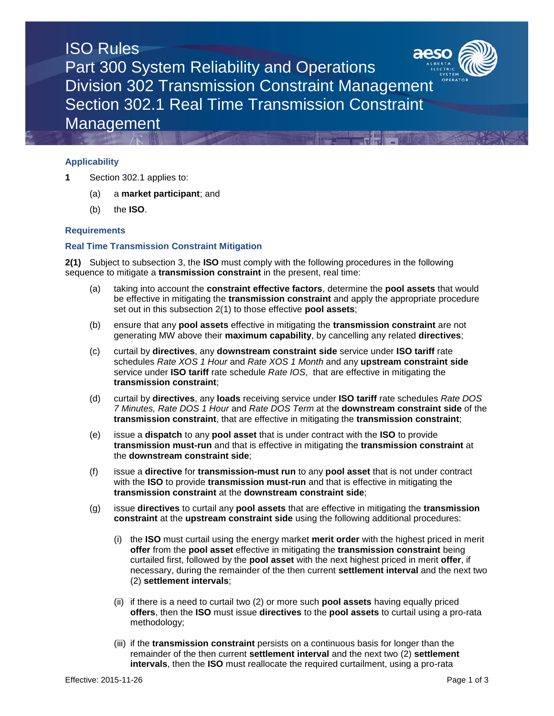

## **Applicability**

- **1** Section 302.1 applies to:
	- (a) a **market participant**; and
	- (b) the **ISO**.

## **Requirements**

## **Real Time Transmission Constraint Mitigation**

**2(1)** Subject to subsection 3, the **ISO** must comply with the following procedures in the following sequence to mitigate a **transmission constraint** in the present, real time:

- (a) taking into account the **constraint effective factors**, determine the **pool assets** that would be effective in mitigating the **transmission constraint** and apply the appropriate procedure set out in this subsection 2(1) to those effective **pool assets**;
- (b) ensure that any **pool assets** effective in mitigating the **transmission constraint** are not generating MW above their **maximum capability**, by cancelling any related **directives**;
- (c) curtail by **directives**, any **downstream constraint side** service under **ISO tariff** rate schedules *Rate XOS 1 Hour* and *Rate XOS 1 Month* and any **upstream constraint side**  service under **ISO tariff** rate schedule *Rate IOS*, that are effective in mitigating the **transmission constraint**;
- (d) curtail by **directives**, any **loads** receiving service under **ISO tariff** rate schedules *Rate DOS 7 Minutes, Rate DOS 1 Hour* and *Rate DOS Term* at the **downstream constraint side** of the **transmission constraint**, that are effective in mitigating the **transmission constraint**;
- (e) issue a **dispatch** to any **pool asset** that is under contract with the **ISO** to provide **transmission must-run** and that is effective in mitigating the **transmission constraint** at the **downstream constraint side**;
- (f) issue a **directive** for **transmission-must run** to any **pool asset** that is not under contract with the **ISO** to provide **transmission must-run** and that is effective in mitigating the **transmission constraint** at the **downstream constraint side**;
- (g) issue **directives** to curtail any **pool assets** that are effective in mitigating the **transmission constraint** at the **upstream constraint side** using the following additional procedures:
	- (i) the **ISO** must curtail using the energy market **merit order** with the highest priced in merit **offer** from the **pool asset** effective in mitigating the **transmission constraint** being curtailed first, followed by the **pool asset** with the next highest priced in merit **offer**, if necessary, during the remainder of the then current **settlement interval** and the next two (2) **settlement intervals**;
	- (ii) if there is a need to curtail two (2) or more such **pool assets** having equally priced **offers**, then the **ISO** must issue **directives** to the **pool assets** to curtail using a pro-rata methodology;
	- (iii) if the **transmission constraint** persists on a continuous basis for longer than the remainder of the then current **settlement interval** and the next two (2) **settlement intervals**, then the **ISO** must reallocate the required curtailment, using a pro-rata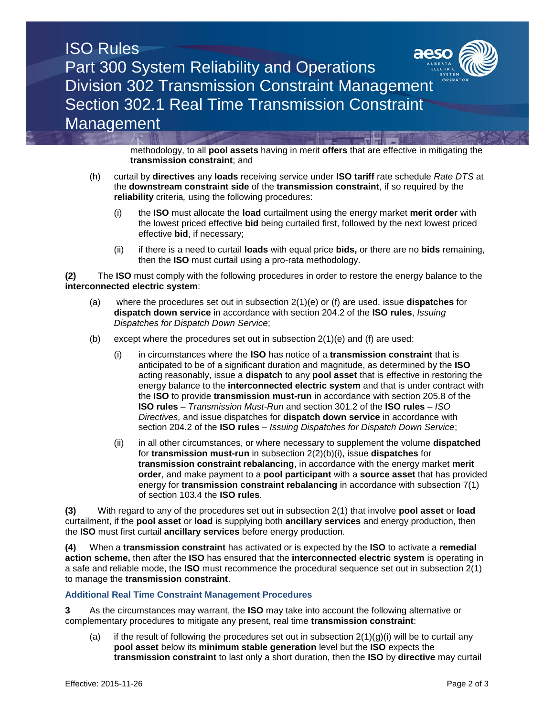## ISO Rules Part 300 System Reliability and Operations Division 302 Transmission Constraint Management Section 302.1 Real Time Transmission Constraint Management

methodology, to all **pool assets** having in merit **offers** that are effective in mitigating the **transmission constraint**; and

- (h) curtail by **directives** any **loads** receiving service under **ISO tariff** rate schedule *Rate DTS* at the **downstream constraint side** of the **transmission constraint**, if so required by the **reliability** criteria*,* using the following procedures:
	- (i) the **ISO** must allocate the **load** curtailment using the energy market **merit order** with the lowest priced effective **bid** being curtailed first, followed by the next lowest priced effective **bid**, if necessary;
	- (ii) if there is a need to curtail **loads** with equal price **bids,** or there are no **bids** remaining, then the **ISO** must curtail using a pro-rata methodology.

**(2)** The **ISO** must comply with the following procedures in order to restore the energy balance to the **interconnected electric system**:

- (a) where the procedures set out in subsection 2(1)(e) or (f) are used, issue **dispatches** for **dispatch down service** in accordance with section 204.2 of the **ISO rules**, *Issuing Dispatches for Dispatch Down Service*;
- (b) except where the procedures set out in subsection  $2(1)(e)$  and (f) are used:
	- (i) in circumstances where the **ISO** has notice of a **transmission constraint** that is anticipated to be of a significant duration and magnitude, as determined by the **ISO**  acting reasonably, issue a **dispatch** to any **pool asset** that is effective in restoring the energy balance to the **interconnected electric system** and that is under contract with the **ISO** to provide **transmission must-run** in accordance with section 205.8 of the **ISO rules** – *Transmission Must-Run* and section 301.2 of the **ISO rules** – *ISO Directives,* and issue dispatches for **dispatch down service** in accordance with section 204.2 of the **ISO rules** – *Issuing Dispatches for Dispatch Down Service*;
	- (ii) in all other circumstances, or where necessary to supplement the volume **dispatched** for **transmission must-run** in subsection 2(2)(b)(i), issue **dispatches** for **transmission constraint rebalancing**, in accordance with the energy market **merit order**, and make payment to a **pool participant** with a **source asset** that has provided energy for **transmission constraint rebalancing** in accordance with subsection 7(1) of section 103.4 the **ISO rules**.

**(3)** With regard to any of the procedures set out in subsection 2(1) that involve **pool asset** or **load** curtailment, if the **pool asset** or **load** is supplying both **ancillary services** and energy production, then the **ISO** must first curtail **ancillary services** before energy production.

**(4)** When a **transmission constraint** has activated or is expected by the **ISO** to activate a **remedial action scheme,** then after the **ISO** has ensured that the **interconnected electric system** is operating in a safe and reliable mode, the **ISO** must recommence the procedural sequence set out in subsection 2(1) to manage the **transmission constraint**.

## **Additional Real Time Constraint Management Procedures**

**3** As the circumstances may warrant, the **ISO** may take into account the following alternative or complementary procedures to mitigate any present, real time **transmission constraint**:

(a) if the result of following the procedures set out in subsection  $2(1)(g)(i)$  will be to curtail any **pool asset** below its **minimum stable generation** level but the **ISO** expects the **transmission constraint** to last only a short duration, then the **ISO** by **directive** may curtail